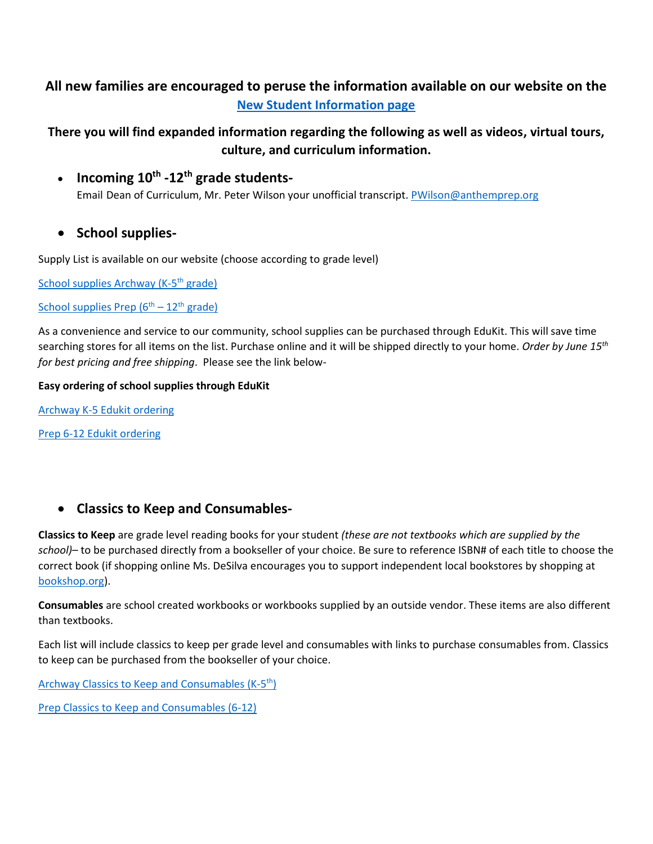# **All new families are encouraged to peruse the information available on our website on the [New Student Information page](https://anthemprep.greatheartsamerica.org/new-student-information/)**

**There you will find expanded information regarding the following as well as videos, virtual tours, culture, and curriculum information.** 

• **Incoming 10th -12th grade students-**

Email Dean of Curriculum, Mr. Peter Wilson your unofficial transcript. [PWilson@anthemprep.org](mailto:PWilson@anthemprep.org)

• **School supplies-**

Supply List is available on our website (choose according to grade level)

[School supplies Archway \(K-5](https://anthemprep.greatheartsamerica.org/wp-content/uploads/sites/12/2022/03/Supply-list-SY-22.23-K-5.pdf)<sup>th</sup> grade)

### School supplies Prep  $(6^{th} - 12^{th}$  grade)

As a convenience and service to our community, school supplies can be purchased through EduKit. This will save time searching stores for all items on the list. Purchase online and it will be shipped directly to your home. *Order by June 15th for best pricing and free shipping*. Please see the link below-

#### **Easy ordering of school supplies through EduKit**

[Archway K-5 Edukit ordering](https://www.edukitinc.com/schools/12172/Great%20Hearts%20Anthem%20Phoenix,%20AZ)

[Prep 6-12 Edukit ordering](https://www.edukitinc.com/schools/1566/Great%20Hearts%20Anthem%20-%20Preparatory%20Phoenix,%20AZ)

## • **Classics to Keep and Consumables-**

**Classics to Keep** are grade level reading books for your student *(these are not textbooks which are supplied by the school)–* to be purchased directly from a bookseller of your choice. Be sure to reference ISBN# of each title to choose the correct book (if shopping online Ms. DeSilva encourages you to support independent local bookstores by shopping at [bookshop.org\)](https://bookshop.org/).

**Consumables** are school created workbooks or workbooks supplied by an outside vendor. These items are also different than textbooks.

Each list will include classics to keep per grade level and consumables with links to purchase consumables from. Classics to keep can be purchased from the bookseller of your choice.

[Archway Classics to Keep](https://anthemprep.greatheartsamerica.org/wp-content/uploads/sites/12/2022/03/Archway-Consumables-for-Parents-2022.2023-002.pdf) and Consumables (K-5<sup>th</sup>)

[Prep Classics to Keep and Consumables \(6-12\)](https://anthemprep.greatheartsamerica.org/wp-content/uploads/sites/12/2022/05/AP-Consumables-SY-22-23.pdf)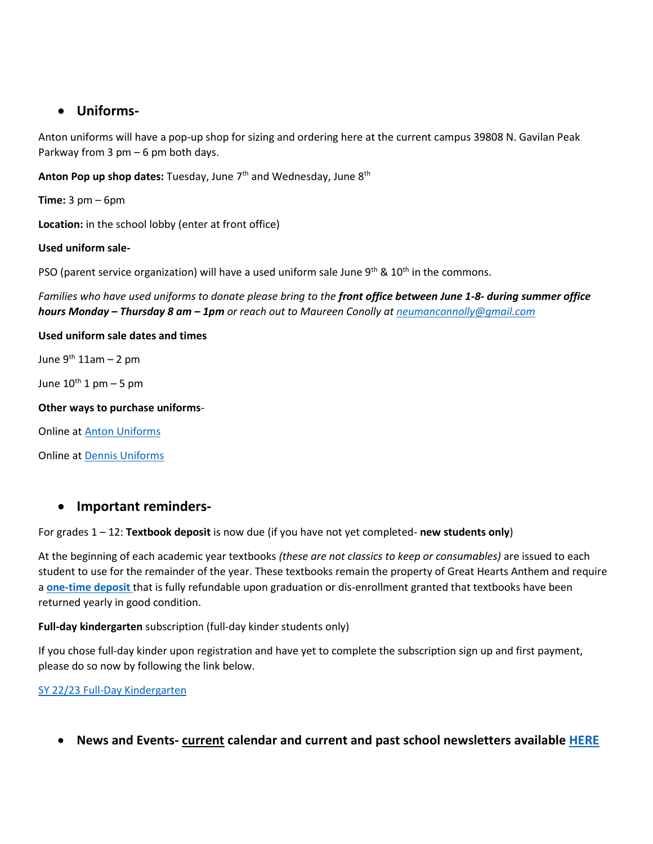## • **Uniforms-**

Anton uniforms will have a pop-up shop for sizing and ordering here at the current campus 39808 N. Gavilan Peak Parkway from 3 pm – 6 pm both days.

Anton Pop up shop dates: Tuesday, June 7<sup>th</sup> and Wednesday, June 8<sup>th</sup>

**Time:** 3 pm – 6pm

**Location:** in the school lobby (enter at front office)

#### **Used uniform sale-**

PSO (parent service organization) will have a used uniform sale June  $9<sup>th</sup>$  &  $10<sup>th</sup>$  in the commons.

*Families who have used uniforms to donate please bring to the front office between June 1-8- during summer office hours Monday – Thursday 8 am – 1pm or reach out to Maureen Conolly a[t neumanconnolly@gmail.com](mailto:neumanconnolly@gmail.com)*

#### **Used uniform sale dates and times**

June  $9^{th}$  11am – 2 pm

June  $10^{th}$  1 pm  $-5$  pm

#### **Other ways to purchase uniforms**-

Online at [Anton Uniforms](https://antonuniforms.com/collections)

Online at [Dennis Uniforms](https://www.dennisuniform.com/)

### • **Important reminders-**

For grades 1 – 12: **Textbook deposit** is now due (if you have not yet completed- **new students only**)

At the beginning of each academic year textbooks *(these are not classics to keep or consumables)* are issued to each student to use for the remainder of the year. These textbooks remain the property of Great Hearts Anthem and require a **[one-time](https://anthemprep.configio.com/pd/1108/sy-20222023-textbook-deposit?cid=378&returncom=productlist&source=search) deposit** that is fully refundable upon graduation or dis-enrollment granted that textbooks have been returned yearly in good condition.

#### **Full-day kindergarten** subscription (full-day kinder students only)

If you chose full-day kinder upon registration and have yet to complete the subscription sign up and first payment, please do so now by following the link below.

#### [SY 22/23 Full-Day Kindergarten](https://anthemprep.configio.com/pd/1165/sy-2223-full-day-kindergarten?cid=407&returncom=productlist&source=search)

• **News and Events- current calendar and current and past school newsletters available [HERE](https://anthemprep.greatheartsamerica.org/news-events/)**